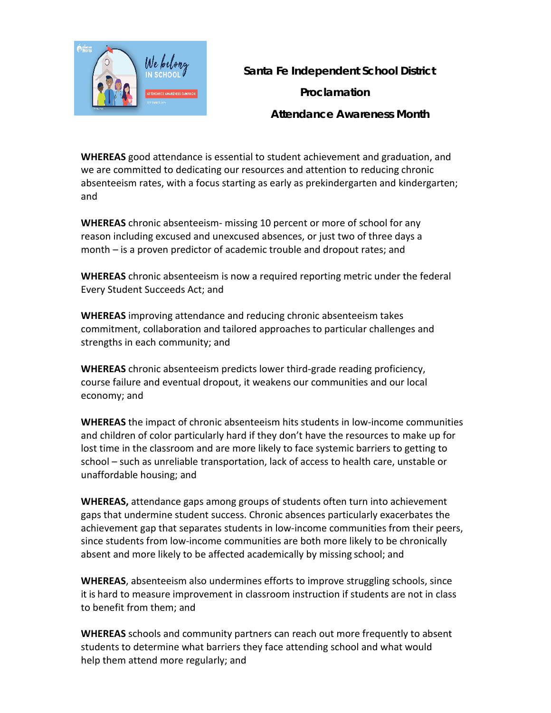

 **Santa Fe Independent School District**

 **Proclamation**

 **Attendance Awareness Month** 

**WHEREAS** good attendance is essential to student achievement and graduation, and we are committed to dedicating our resources and attention to reducing chronic absenteeism rates, with a focus starting as early as prekindergarten and kindergarten; and

**WHEREAS** chronic absenteeism- missing 10 percent or more of school for any reason including excused and unexcused absences, or just two of three days a month – is a proven predictor of academic trouble and dropout rates; and

**WHEREAS** chronic absenteeism is now a required reporting metric under the federal Every Student Succeeds Act; and

**WHEREAS** improving attendance and reducing chronic absenteeism takes commitment, collaboration and tailored approaches to particular challenges and strengths in each community; and

**WHEREAS** chronic absenteeism predicts lower third-grade reading proficiency, course failure and eventual dropout, it weakens our communities and our local economy; and

**WHEREAS** the impact of chronic absenteeism hits students in low-income communities and children of color particularly hard if they don't have the resources to make up for lost time in the classroom and are more likely to face systemic barriers to getting to school – such as unreliable transportation, lack of access to health care, unstable or unaffordable housing; and

**WHEREAS,** attendance gaps among groups of students often turn into achievement gaps that undermine student success. Chronic absences particularly exacerbates the achievement gap that separates students in low-income communities from their peers, since students from low-income communities are both more likely to be chronically absent and more likely to be affected academically by missing school; and

**WHEREAS**, absenteeism also undermines efforts to improve struggling schools, since it is hard to measure improvement in classroom instruction if students are not in class to benefit from them; and

**WHEREAS** schools and community partners can reach out more frequently to absent students to determine what barriers they face attending school and what would help them attend more regularly; and